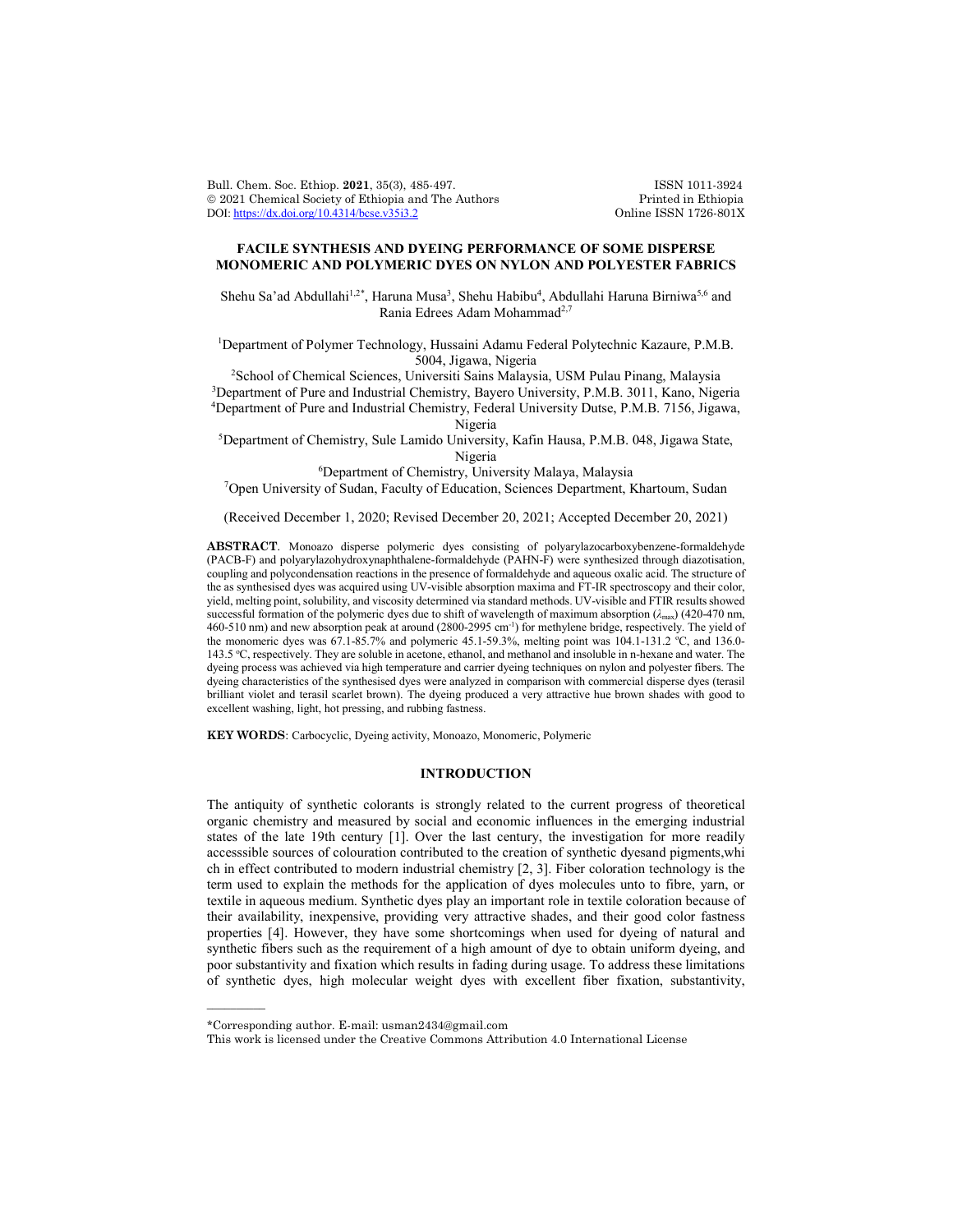Bull. Chem. Soc. Ethiop. 2021, 35(3), 485-497. ISSN 1011-3924<br>
© 2021 Chemical Society of Ethiopia and The Authors Printed in Ethiopia © 2021 Chemical Society of Ethiopia and The Authors Printed in Ethiopia DOI: https://dx.doi.org/10.4314/bcse.v35i3.2 Online ISSN 1726-801X DOI: https://dx.doi.org/10.4314/bcse.v35i3.2

## **FACILE SYNTHESIS AND DYEING PERFORMANCE OF SOME DISPERSE MONOMERIC AND POLYMERIC DYES ON NYLON AND POLYESTER FABRICS**

Shehu Sa'ad Abdullahi<sup>1,2\*</sup>, Haruna Musa<sup>3</sup>, Shehu Habibu<sup>4</sup>, Abdullahi Haruna Birniwa<sup>5,6</sup> and Rania Edrees Adam Mohammad<sup>2,7</sup>

<sup>1</sup>Department of Polymer Technology, Hussaini Adamu Federal Polytechnic Kazaure, P.M.B. 5004, Jigawa, Nigeria

2 School of Chemical Sciences, Universiti Sains Malaysia, USM Pulau Pinang, Malaysia 3 Department of Pure and Industrial Chemistry, Bayero University, P.M.B. 3011, Kano, Nigeria 4 Department of Pure and Industrial Chemistry, Federal University Dutse, P.M.B. 7156, Jigawa,

Nigeria

5 Department of Chemistry, Sule Lamido University, Kafin Hausa, P.M.B. 048, Jigawa State, Nigeria

6 Department of Chemistry, University Malaya, Malaysia

7 Open University of Sudan, Faculty of Education, Sciences Department, Khartoum, Sudan

(Received December 1, 2020; Revised December 20, 2021; Accepted December 20, 2021)

**ABSTRACT**. Monoazo disperse polymeric dyes consisting of polyarylazocarboxybenzene-formaldehyde (PACB-F) and polyarylazohydroxynaphthalene-formaldehyde (PAHN-F) were synthesized through diazotisation, coupling and polycondensation reactions in the presence of formaldehyde and aqueous oxalic acid. The structure of the as synthesised dyes was acquired using UV-visible absorption maxima and FT-IR spectroscopy and their color, yield, melting point, solubility, and viscosity determined via standard methods. UV-visible and FTIR results showed successful formation of the polymeric dyes due to shift of wavelength of maximum absorption (*λ*max) (420-470 nm, 460-510 nm) and new absorption peak at around (2800-2995 cm-1 ) for methylene bridge, respectively. The yield of the monomeric dyes was 67.1-85.7% and polymeric 45.1-59.3%, melting point was 104.1-131.2 °C, and 136.0-143.5 °C, respectively. They are soluble in acetone, ethanol, and methanol and insoluble in n-hexane and water. The dyeing process was achieved via high temperature and carrier dyeing techniques on nylon and polyester fibers. The dyeing characteristics of the synthesised dyes were analyzed in comparison with commercial disperse dyes (terasil brilliant violet and terasil scarlet brown). The dyeing produced a very attractive hue brown shades with good to excellent washing, light, hot pressing, and rubbing fastness.

**KEY WORDS**: Carbocyclic, Dyeing activity, Monoazo, Monomeric, Polymeric

## **INTRODUCTION**

The antiquity of synthetic colorants is strongly related to the current progress of theoretical organic chemistry and measured by social and economic influences in the emerging industrial states of the late 19th century [1]. Over the last century, the investigation for more readily accesssible sources of colouration contributed to the creation of synthetic dyesand pigments,whi ch in effect contributed to modern industrial chemistry [2, 3]. Fiber coloration technology is the term used to explain the methods for the application of dyes molecules unto to fibre, yarn, or textile in aqueous medium. Synthetic dyes play an important role in textile coloration because of their availability, inexpensive, providing very attractive shades, and their good color fastness properties [4]. However, they have some shortcomings when used for dyeing of natural and synthetic fibers such as the requirement of a high amount of dye to obtain uniform dyeing, and poor substantivity and fixation which results in fading during usage. To address these limitations of synthetic dyes, high molecular weight dyes with excellent fiber fixation, substantivity,

 $\overline{\phantom{a}}$ 

<sup>\*</sup>Corresponding author. E-mail: usman2434@gmail.com

This work is licensed under the Creative Commons Attribution 4.0 International License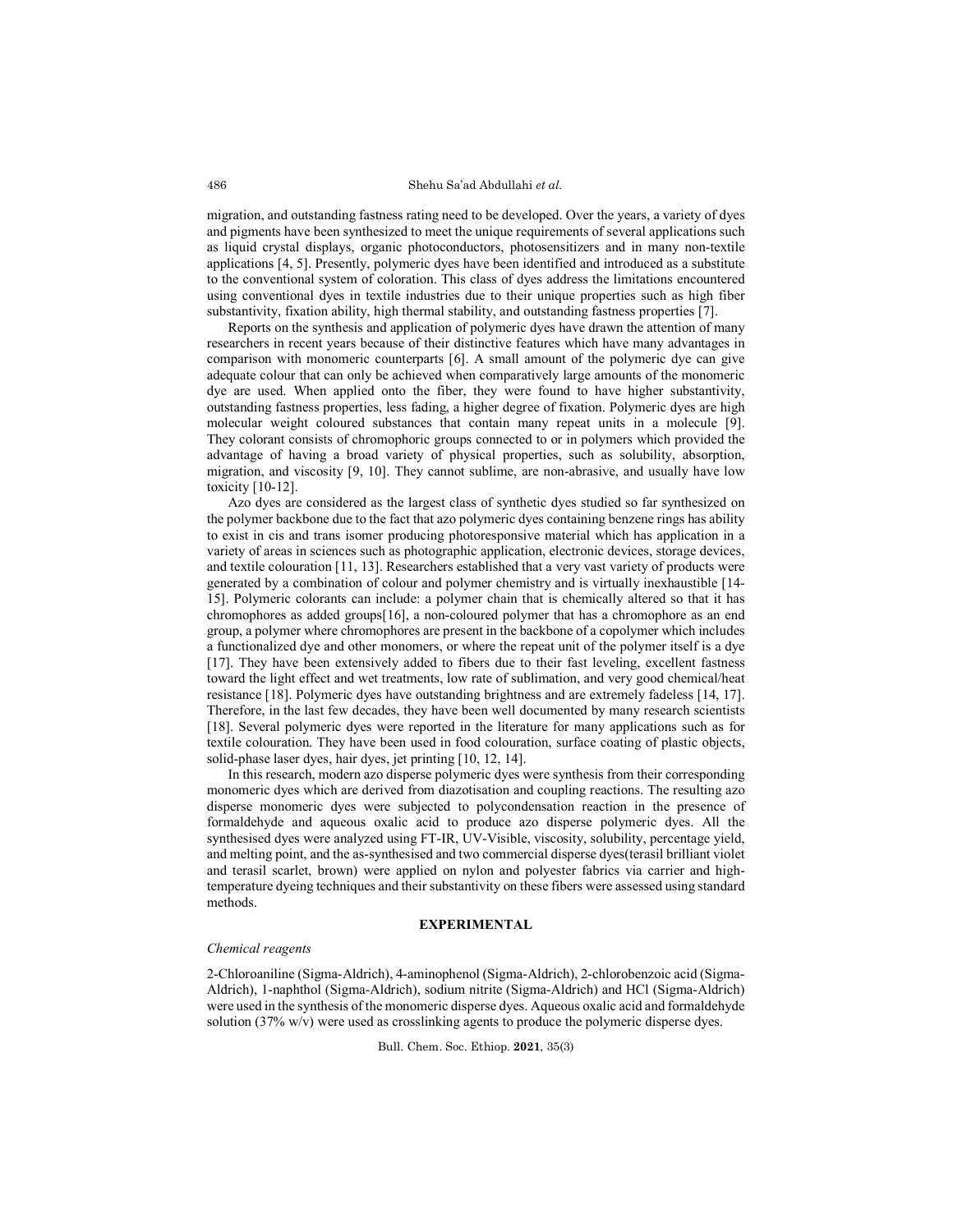migration, and outstanding fastness rating need to be developed. Over the years, a variety of dyes and pigments have been synthesized to meet the unique requirements of several applications such as liquid crystal displays, organic photoconductors, photosensitizers and in many non-textile applications [4, 5]. Presently, polymeric dyes have been identified and introduced as a substitute to the conventional system of coloration. This class of dyes address the limitations encountered using conventional dyes in textile industries due to their unique properties such as high fiber substantivity, fixation ability, high thermal stability, and outstanding fastness properties [7].

Reports on the synthesis and application of polymeric dyes have drawn the attention of many researchers in recent years because of their distinctive features which have many advantages in comparison with monomeric counterparts [6]. A small amount of the polymeric dye can give adequate colour that can only be achieved when comparatively large amounts of the monomeric dye are used. When applied onto the fiber, they were found to have higher substantivity, outstanding fastness properties, less fading, a higher degree of fixation. Polymeric dyes are high molecular weight coloured substances that contain many repeat units in a molecule [9]. They colorant consists of chromophoric groups connected to or in polymers which provided the advantage of having a broad variety of physical properties, such as solubility, absorption, migration, and viscosity [9, 10]. They cannot sublime, are non-abrasive, and usually have low toxicity [10-12].

Azo dyes are considered as the largest class of synthetic dyes studied so far synthesized on the polymer backbone due to the fact that azo polymeric dyes containing benzene rings has ability to exist in cis and trans isomer producing photoresponsive material which has application in a variety of areas in sciences such as photographic application, electronic devices, storage devices, and textile colouration [11, 13]. Researchers established that a very vast variety of products were generated by a combination of colour and polymer chemistry and is virtually inexhaustible [14- 15]. Polymeric colorants can include: a polymer chain that is chemically altered so that it has chromophores as added groups[16], a non-coloured polymer that has a chromophore as an end group, a polymer where chromophores are present in the backbone of a copolymer which includes a functionalized dye and other monomers, or where the repeat unit of the polymer itself is a dye [17]. They have been extensively added to fibers due to their fast leveling, excellent fastness toward the light effect and wet treatments, low rate of sublimation, and very good chemical/heat resistance [18]. Polymeric dyes have outstanding brightness and are extremely fadeless [14, 17]. Therefore, in the last few decades, they have been well documented by many research scientists [18]. Several polymeric dyes were reported in the literature for many applications such as for textile colouration. They have been used in food colouration, surface coating of plastic objects, solid-phase laser dyes, hair dyes, jet printing [10, 12, 14].

In this research, modern azo disperse polymeric dyes were synthesis from their corresponding monomeric dyes which are derived from diazotisation and coupling reactions. The resulting azo disperse monomeric dyes were subjected to polycondensation reaction in the presence of formaldehyde and aqueous oxalic acid to produce azo disperse polymeric dyes. All the synthesised dyes were analyzed using FT-IR, UV-Visible, viscosity, solubility, percentage yield, and melting point, and the as-synthesised and two commercial disperse dyes(terasil brilliant violet and terasil scarlet, brown) were applied on nylon and polyester fabrics via carrier and hightemperature dyeing techniques and their substantivity on these fibers were assessed using standard methods.

## **EXPERIMENTAL**

#### *Chemical reagents*

2-Chloroaniline (Sigma-Aldrich), 4-aminophenol (Sigma-Aldrich), 2-chlorobenzoic acid (Sigma-Aldrich), 1-naphthol (Sigma-Aldrich), sodium nitrite (Sigma-Aldrich) and HCl (Sigma-Aldrich) were used in the synthesis of the monomeric disperse dyes. Aqueous oxalic acid and formaldehyde solution (37% w/v) were used as crosslinking agents to produce the polymeric disperse dyes.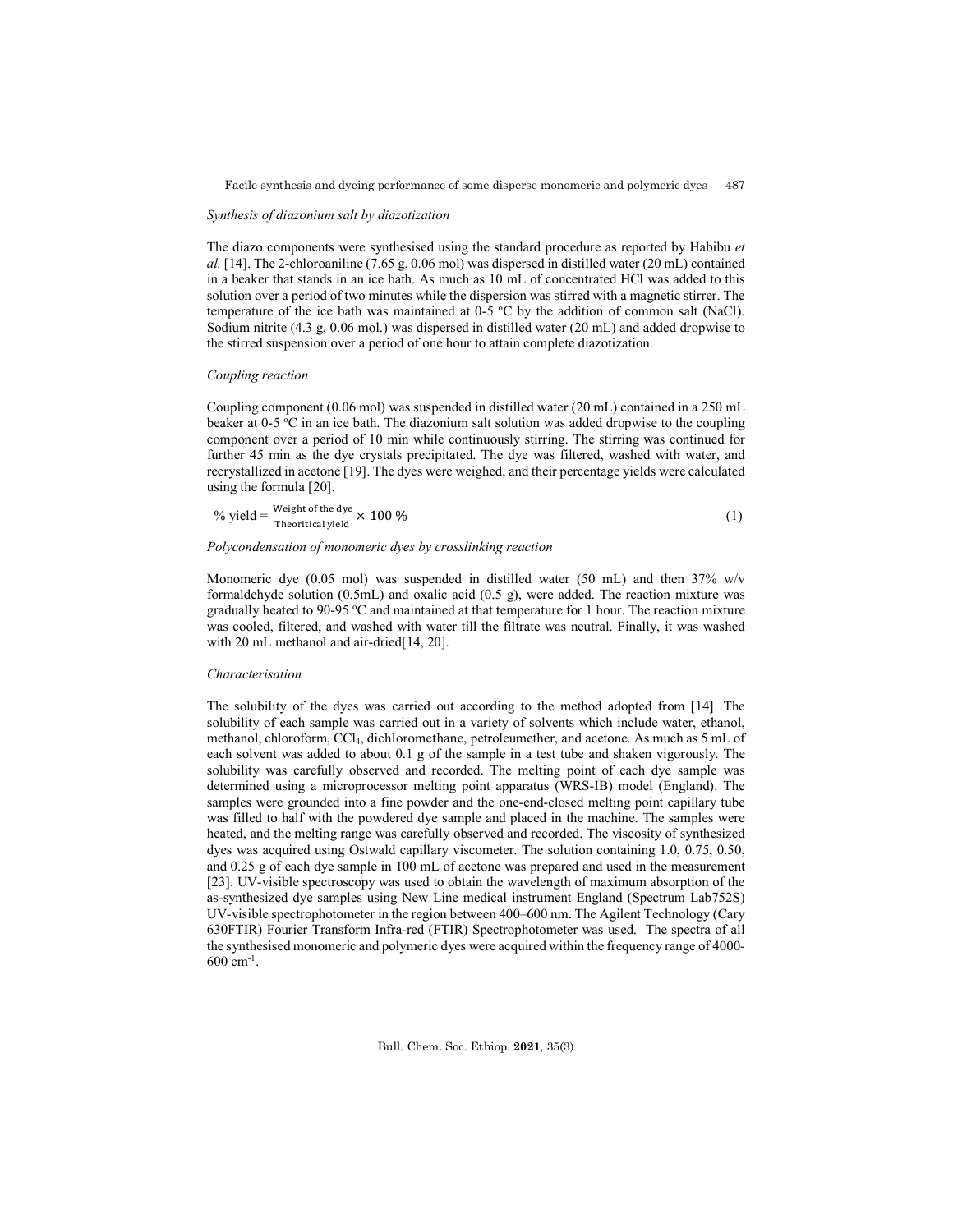### *Synthesis of diazonium salt by diazotization*

The diazo components were synthesised using the standard procedure as reported by Habibu *et al.* [14]. The 2-chloroaniline (7.65 g, 0.06 mol) was dispersed in distilled water (20 mL) contained in a beaker that stands in an ice bath. As much as 10 mL of concentrated HCl was added to this solution over a period of two minutes while the dispersion was stirred with a magnetic stirrer. The temperature of the ice bath was maintained at  $0-5$  °C by the addition of common salt (NaCl). Sodium nitrite (4.3 g, 0.06 mol.) was dispersed in distilled water (20 mL) and added dropwise to the stirred suspension over a period of one hour to attain complete diazotization.

## *Coupling reaction*

Coupling component (0.06 mol) was suspended in distilled water (20 mL) contained in a 250 mL beaker at 0-5 °C in an ice bath. The diazonium salt solution was added dropwise to the coupling component over a period of 10 min while continuously stirring. The stirring was continued for further 45 min as the dye crystals precipitated. The dye was filtered, washed with water, and recrystallized in acetone [19]. The dyes were weighed, and their percentage yields were calculated using the formula [20].

% yield = 
$$
\frac{\text{Weight of the dye}}{\text{Theorritical yield}} \times 100\%
$$
 (1)

### *Polycondensation of monomeric dyes by crosslinking reaction*

Monomeric dye (0.05 mol) was suspended in distilled water (50 mL) and then  $37\%$  w/v formaldehyde solution (0.5mL) and oxalic acid (0.5 g), were added. The reaction mixture was gradually heated to 90-95 °C and maintained at that temperature for 1 hour. The reaction mixture was cooled, filtered, and washed with water till the filtrate was neutral. Finally, it was washed with 20 mL methanol and air-dried[14, 20].

## *Characterisation*

The solubility of the dyes was carried out according to the method adopted from [14]. The solubility of each sample was carried out in a variety of solvents which include water, ethanol, methanol, chloroform, CCl4, dichloromethane, petroleumether, and acetone. As much as 5 mL of each solvent was added to about 0.1 g of the sample in a test tube and shaken vigorously. The solubility was carefully observed and recorded. The melting point of each dye sample was determined using a microprocessor melting point apparatus (WRS-IB) model (England). The samples were grounded into a fine powder and the one-end-closed melting point capillary tube was filled to half with the powdered dye sample and placed in the machine. The samples were heated, and the melting range was carefully observed and recorded. The viscosity of synthesized dyes was acquired using Ostwald capillary viscometer. The solution containing 1.0, 0.75, 0.50, and 0.25 g of each dye sample in 100 mL of acetone was prepared and used in the measurement [23]. UV-visible spectroscopy was used to obtain the wavelength of maximum absorption of the as-synthesized dye samples using New Line medical instrument England (Spectrum Lab752S) UV-visible spectrophotometer in the region between 400–600 nm. The Agilent Technology (Cary 630FTIR) Fourier Transform Infra-red (FTIR) Spectrophotometer was used. The spectra of all the synthesised monomeric and polymeric dyes were acquired within the frequency range of 4000-  $600 \text{ cm}^{-1}$ .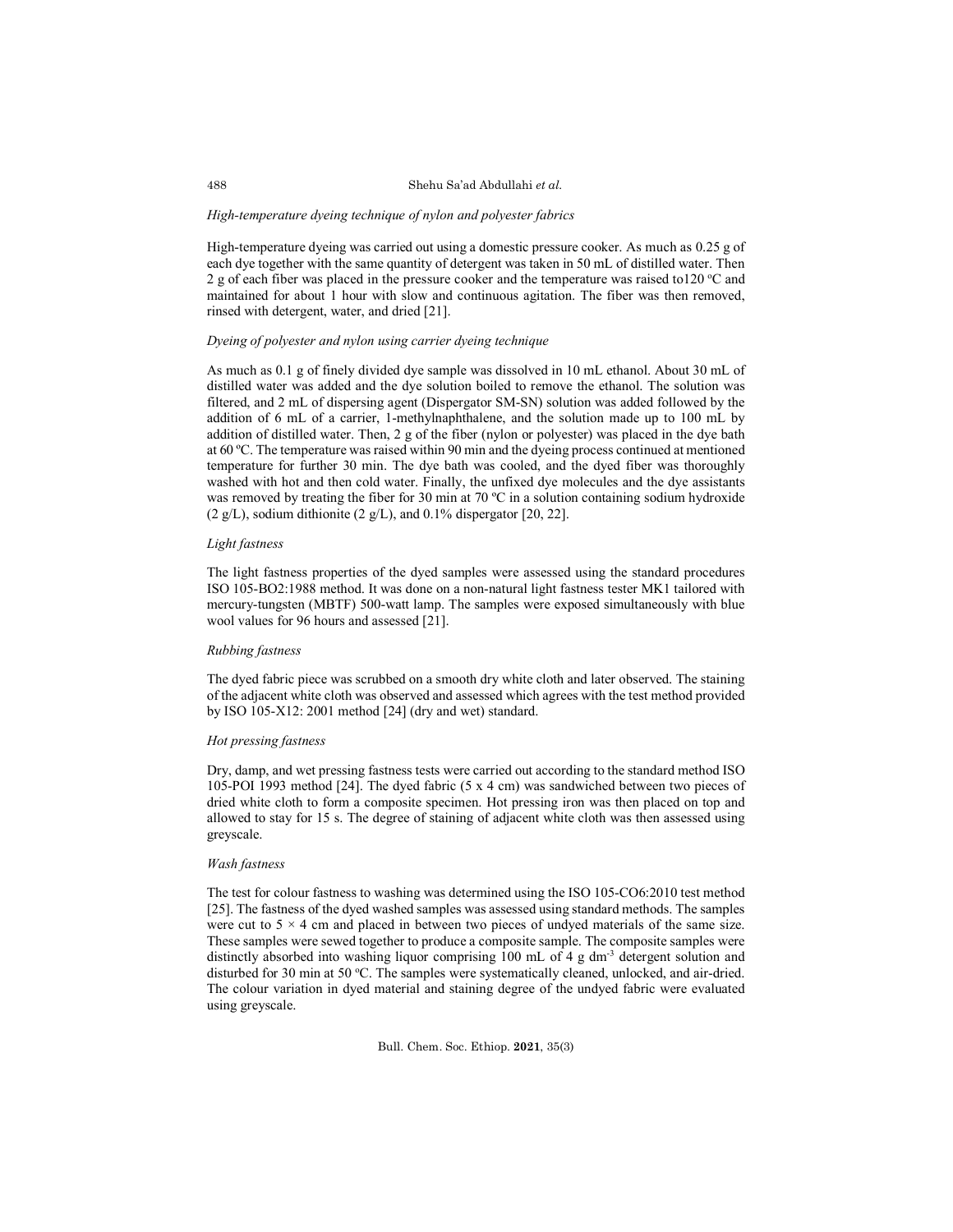#### *High-temperature dyeing technique of nylon and polyester fabrics*

High-temperature dyeing was carried out using a domestic pressure cooker. As much as 0.25 g of each dye together with the same quantity of detergent was taken in 50 mL of distilled water. Then 2 g of each fiber was placed in the pressure cooker and the temperature was raised to120  $^{\circ}$ C and maintained for about 1 hour with slow and continuous agitation. The fiber was then removed, rinsed with detergent, water, and dried [21].

## *Dyeing of polyester and nylon using carrier dyeing technique*

As much as 0.1 g of finely divided dye sample was dissolved in 10 mL ethanol. About 30 mL of distilled water was added and the dye solution boiled to remove the ethanol. The solution was filtered, and 2 mL of dispersing agent (Dispergator SM-SN) solution was added followed by the addition of 6 mL of a carrier, 1-methylnaphthalene, and the solution made up to 100 mL by addition of distilled water. Then, 2 g of the fiber (nylon or polyester) was placed in the dye bath at 60 ºC. The temperature was raised within 90 min and the dyeing process continued at mentioned temperature for further 30 min. The dye bath was cooled, and the dyed fiber was thoroughly washed with hot and then cold water. Finally, the unfixed dye molecules and the dye assistants was removed by treating the fiber for 30 min at 70 °C in a solution containing sodium hydroxide  $(2 \text{ g/L})$ , sodium dithionite  $(2 \text{ g/L})$ , and 0.1% dispergator [20, 22].

### *Light fastness*

The light fastness properties of the dyed samples were assessed using the standard procedures ISO 105-BO2:1988 method. It was done on a non-natural light fastness tester MK1 tailored with mercury-tungsten (MBTF) 500-watt lamp. The samples were exposed simultaneously with blue wool values for 96 hours and assessed [21].

## *Rubbing fastness*

The dyed fabric piece was scrubbed on a smooth dry white cloth and later observed. The staining of the adjacent white cloth was observed and assessed which agrees with the test method provided by ISO 105-X12: 2001 method [24] (dry and wet) standard.

### *Hot pressing fastness*

Dry, damp, and wet pressing fastness tests were carried out according to the standard method ISO 105-POI 1993 method [24]. The dyed fabric (5 x 4 cm) was sandwiched between two pieces of dried white cloth to form a composite specimen. Hot pressing iron was then placed on top and allowed to stay for 15 s. The degree of staining of adjacent white cloth was then assessed using greyscale.

## *Wash fastness*

The test for colour fastness to washing was determined using the ISO 105-CO6:2010 test method [25]. The fastness of the dyed washed samples was assessed using standard methods. The samples were cut to  $5 \times 4$  cm and placed in between two pieces of undyed materials of the same size. These samples were sewed together to produce a composite sample. The composite samples were distinctly absorbed into washing liquor comprising 100 mL of 4 g dm-3 detergent solution and disturbed for 30 min at 50 °C. The samples were systematically cleaned, unlocked, and air-dried. The colour variation in dyed material and staining degree of the undyed fabric were evaluated using greyscale.

Bull. Chem. Soc. Ethiop. **2021**, 35(3)

488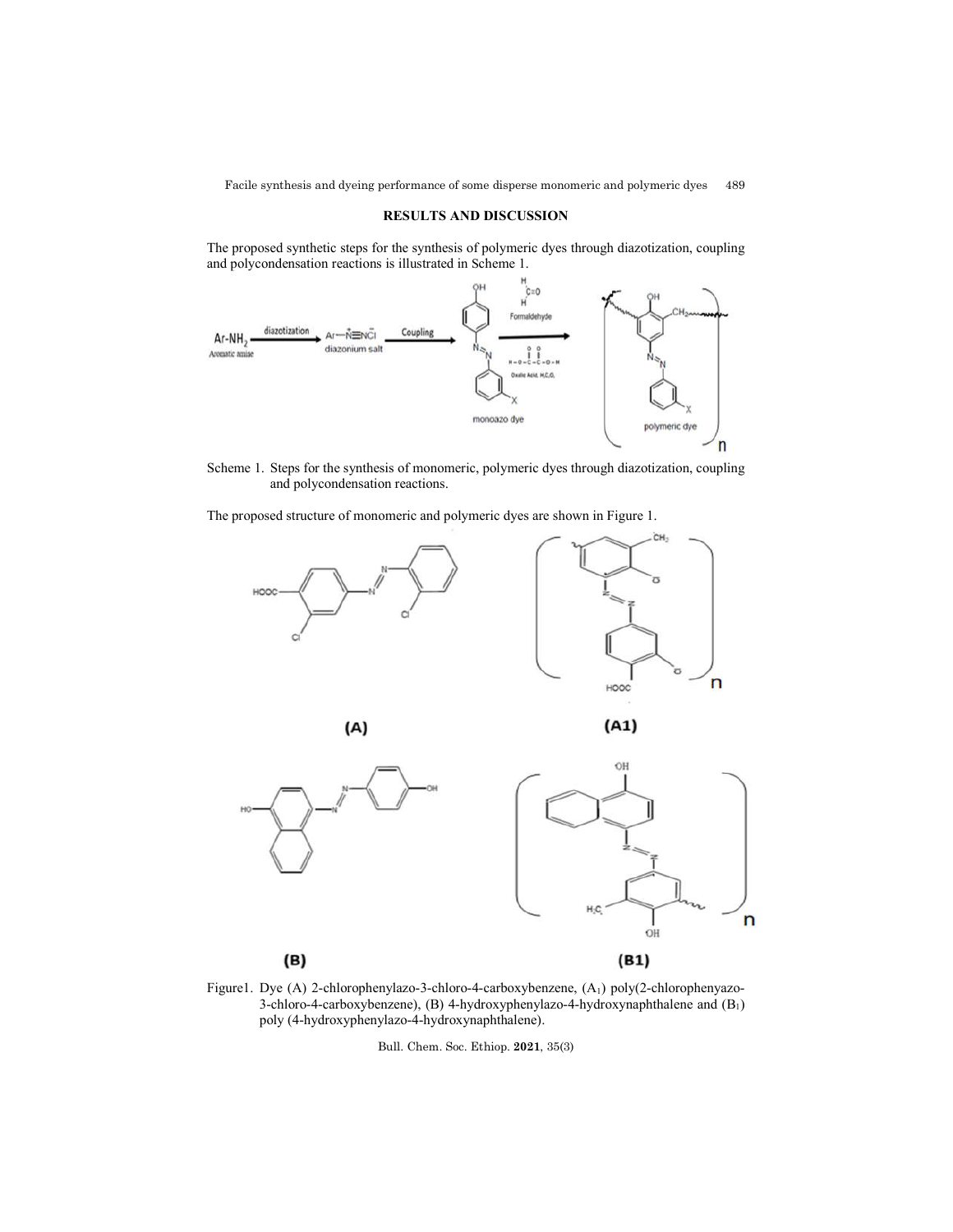# **RESULTS AND DISCUSSION**

The proposed synthetic steps for the synthesis of polymeric dyes through diazotization, coupling and polycondensation reactions is illustrated in Scheme 1.



Scheme 1. Steps for the synthesis of monomeric, polymeric dyes through diazotization, coupling and polycondensation reactions.

The proposed structure of monomeric and polymeric dyes are shown in Figure 1.









Figure1. Dye (A) 2-chlorophenylazo-3-chloro-4-carboxybenzene, (A1) poly(2-chlorophenyazo-3-chloro-4-carboxybenzene), (B) 4-hydroxyphenylazo-4-hydroxynaphthalene and (B1) poly (4-hydroxyphenylazo-4-hydroxynaphthalene).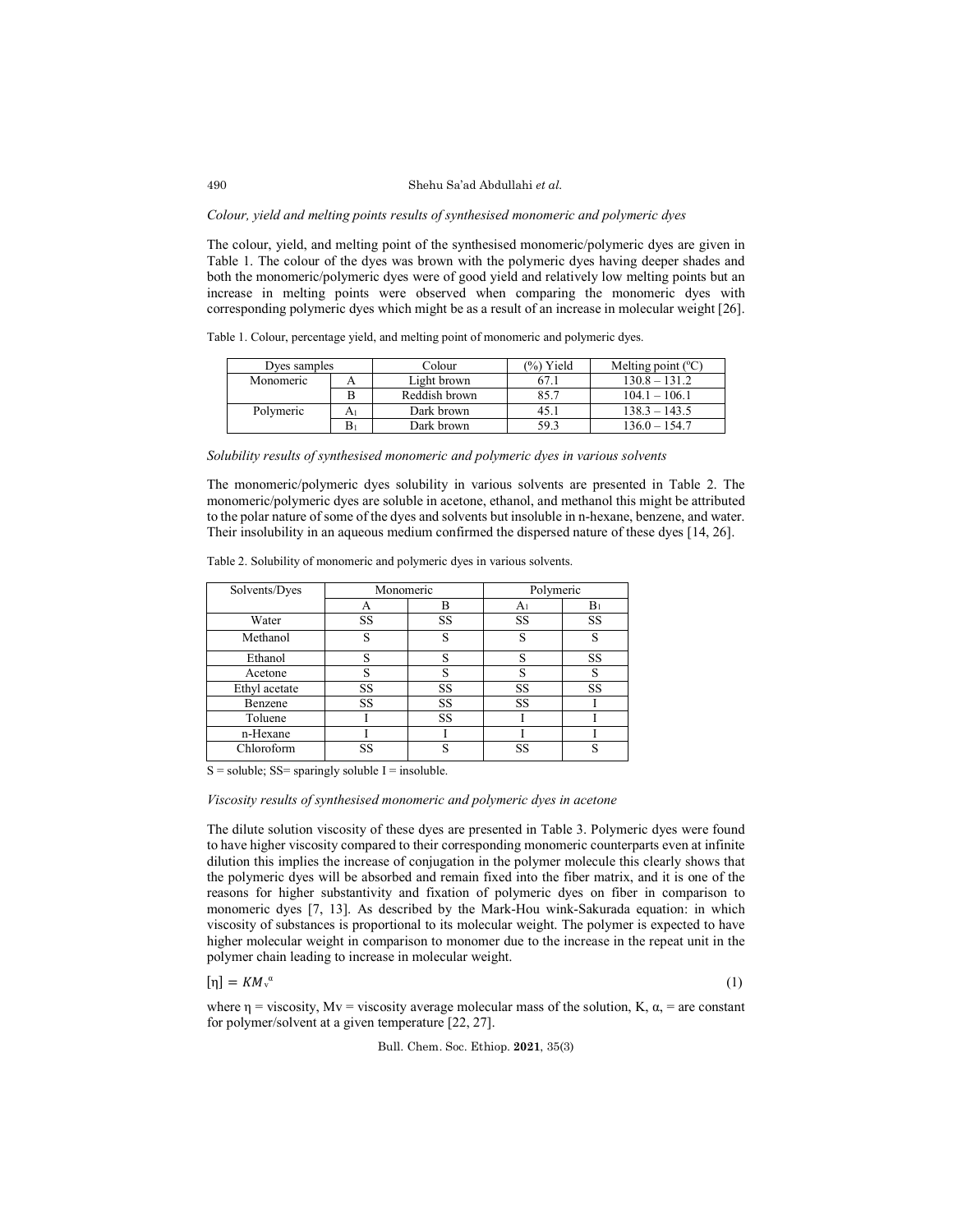### *Colour, yield and melting points results of synthesised monomeric and polymeric dyes*

The colour, yield, and melting point of the synthesised monomeric/polymeric dyes are given in Table 1. The colour of the dyes was brown with the polymeric dyes having deeper shades and both the monomeric/polymeric dyes were of good yield and relatively low melting points but an increase in melting points were observed when comparing the monomeric dyes with corresponding polymeric dyes which might be as a result of an increase in molecular weight [26].

Table 1. Colour, percentage yield, and melting point of monomeric and polymeric dyes.

| Dves samples |   | Colour        | (%) Yield<br>Melting point $({}^{\circ}C)$ |                 |
|--------------|---|---------------|--------------------------------------------|-----------------|
| Monomeric    |   | Light brown   |                                            | $130.8 - 131.2$ |
|              |   | Reddish brown | 85.7                                       | $104.1 - 106.1$ |
| Polymeric    |   | Dark brown    | 45.I                                       | $138.3 - 143.5$ |
|              | В | Dark brown    | 59.3                                       | $136.0 - 154.7$ |

*Solubility results of synthesised monomeric and polymeric dyes in various solvents* 

The monomeric/polymeric dyes solubility in various solvents are presented in Table 2. The monomeric/polymeric dyes are soluble in acetone, ethanol, and methanol this might be attributed to the polar nature of some of the dyes and solvents but insoluble in n-hexane, benzene, and water. Their insolubility in an aqueous medium confirmed the dispersed nature of these dyes [14, 26].

| Solvents/Dyes | Monomeric |    | Polymeric      |           |  |
|---------------|-----------|----|----------------|-----------|--|
|               | А         | B  | A <sub>1</sub> | $B_1$     |  |
| Water         | SS        | SS | SS             | SS        |  |
| Methanol      | S         | S  | S              | S         |  |
| Ethanol       | S         | S  | S              | <b>SS</b> |  |
| Acetone       | S         | s  | S              |           |  |
| Ethyl acetate | SS        | SS | SS             | <b>SS</b> |  |
| Benzene       | <b>SS</b> | SS | SS             |           |  |
| Toluene       |           | SS |                |           |  |
| n-Hexane      |           |    |                |           |  |
| Chloroform    | SS        | S  | SS             |           |  |

Table 2. Solubility of monomeric and polymeric dyes in various solvents.

 $S =$  soluble;  $SS =$  sparingly soluble I = insoluble.

*Viscosity results of synthesised monomeric and polymeric dyes in acetone*

The dilute solution viscosity of these dyes are presented in Table 3. Polymeric dyes were found to have higher viscosity compared to their corresponding monomeric counterparts even at infinite dilution this implies the increase of conjugation in the polymer molecule this clearly shows that the polymeric dyes will be absorbed and remain fixed into the fiber matrix, and it is one of the reasons for higher substantivity and fixation of polymeric dyes on fiber in comparison to monomeric dyes [7, 13]. As described by the Mark-Hou wink-Sakurada equation: in which viscosity of substances is proportional to its molecular weight. The polymer is expected to have higher molecular weight in comparison to monomer due to the increase in the repeat unit in the polymer chain leading to increase in molecular weight.

 $[\eta] = KM_v^{\alpha}$ 

 $\alpha$  (1)

where  $\eta$  = viscosity, Mv = viscosity average molecular mass of the solution, K,  $\alpha$ , = are constant for polymer/solvent at a given temperature [22, 27].

Bull. Chem. Soc. Ethiop. **2021**, 35(3)

490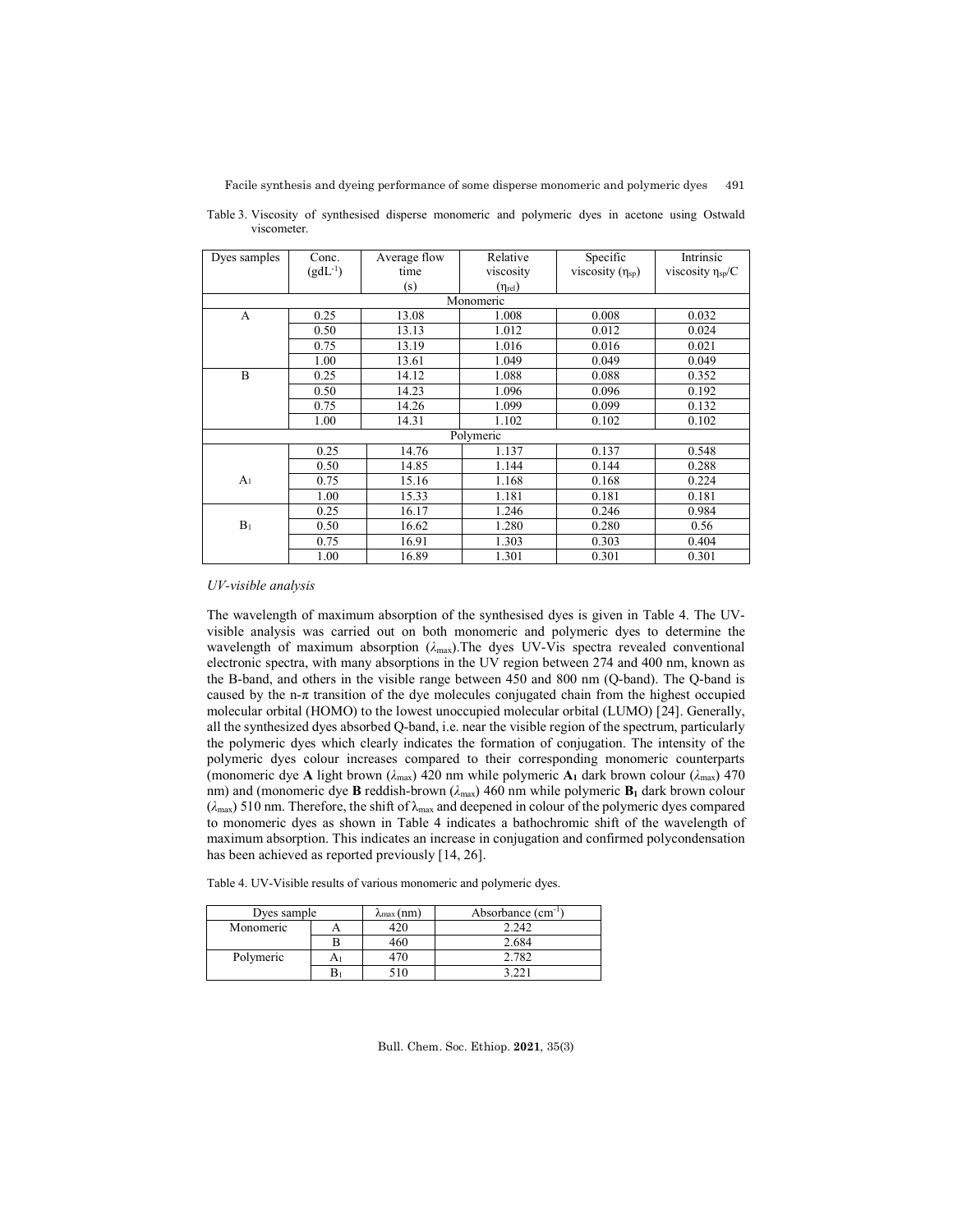| Dyes samples   | Conc.        | Average flow | Relative              | Specific                | Intrinsic                    |  |  |  |  |  |
|----------------|--------------|--------------|-----------------------|-------------------------|------------------------------|--|--|--|--|--|
|                | $(gdL^{-1})$ | time         | viscosity             | viscosity $(\eta_{sp})$ | viscosity η <sub>sp</sub> /C |  |  |  |  |  |
|                |              | (s)          | $(\eta_{\text{rel}})$ |                         |                              |  |  |  |  |  |
| Monomeric      |              |              |                       |                         |                              |  |  |  |  |  |
| A              | 0.25         | 13.08        | 1.008                 | 0.008                   | 0.032                        |  |  |  |  |  |
|                | 0.50         | 13.13        | 1.012                 | 0.012                   | 0.024                        |  |  |  |  |  |
|                | 0.75         | 13.19        | 1.016                 | 0.016                   | 0.021                        |  |  |  |  |  |
|                | 1.00         | 13.61        | 1.049                 | 0.049                   | 0.049                        |  |  |  |  |  |
| B              | 0.25         | 14.12        | 1.088                 | 0.088                   | 0.352                        |  |  |  |  |  |
|                | 0.50         | 14.23        | 1.096                 | 0.096                   | 0.192                        |  |  |  |  |  |
|                | 0.75         | 14.26        | 1.099                 | 0.099                   | 0.132                        |  |  |  |  |  |
|                | 1.00         | 14.31        | 1.102                 | 0.102                   | 0.102                        |  |  |  |  |  |
|                |              |              | Polymeric             |                         |                              |  |  |  |  |  |
|                | 0.25         | 14.76        | 1.137                 | 0.137                   | 0.548                        |  |  |  |  |  |
|                | 0.50         | 14.85        | 1.144                 | 0.144                   | 0.288                        |  |  |  |  |  |
| A <sub>1</sub> | 0.75         | 15.16        | 1.168                 | 0.168                   | 0.224                        |  |  |  |  |  |
|                | 1.00         | 15.33        | 1.181                 | 0.181                   | 0.181                        |  |  |  |  |  |
|                | 0.25         | 16.17        | 1.246                 | 0.246                   | 0.984                        |  |  |  |  |  |
| B <sub>1</sub> | 0.50         | 16.62        | 1.280                 | 0.280                   | 0.56                         |  |  |  |  |  |
|                | 0.75         | 16.91        | 1.303                 | 0.303                   | 0.404                        |  |  |  |  |  |
|                | 1.00         | 16.89        | 1.301                 | 0.301                   | 0.301                        |  |  |  |  |  |

Table 3. Viscosity of synthesised disperse monomeric and polymeric dyes in acetone using Ostwald viscometer.

#### *UV-visible analysis*

The wavelength of maximum absorption of the synthesised dyes is given in Table 4. The UVvisible analysis was carried out on both monomeric and polymeric dyes to determine the wavelength of maximum absorption (*λ*max).The dyes UV-Vis spectra revealed conventional electronic spectra, with many absorptions in the UV region between 274 and 400 nm, known as the B-band, and others in the visible range between 450 and 800 nm (Q-band). The Q-band is caused by the n-π transition of the dye molecules conjugated chain from the highest occupied molecular orbital (HOMO) to the lowest unoccupied molecular orbital (LUMO) [24]. Generally, all the synthesized dyes absorbed Q-band, i.e. near the visible region of the spectrum, particularly the polymeric dyes which clearly indicates the formation of conjugation. The intensity of the polymeric dyes colour increases compared to their corresponding monomeric counterparts (monomeric dye A light brown ( $\lambda_{\text{max}}$ ) 420 nm while polymeric A<sub>1</sub> dark brown colour ( $\lambda_{\text{max}}$ ) 470 nm) and (monomeric dye **B** reddish-brown (λ<sub>max</sub>) 460 nm while polymeric **B**<sub>1</sub> dark brown colour (*λ*max) 510 nm. Therefore, the shift of λmax and deepened in colour of the polymeric dyes compared to monomeric dyes as shown in Table 4 indicates a bathochromic shift of the wavelength of maximum absorption. This indicates an increase in conjugation and confirmed polycondensation has been achieved as reported previously [14, 26].

Table 4. UV-Visible results of various monomeric and polymeric dyes.

| Dyes sample |    | $\lambda$ max (nm) | Absorbance $(cm^{-1})$ |
|-------------|----|--------------------|------------------------|
| Monomeric   |    |                    | 2.242                  |
|             |    | 460                | 2.684                  |
| Polymeric   | Αı |                    | 2.782                  |
|             | В  |                    |                        |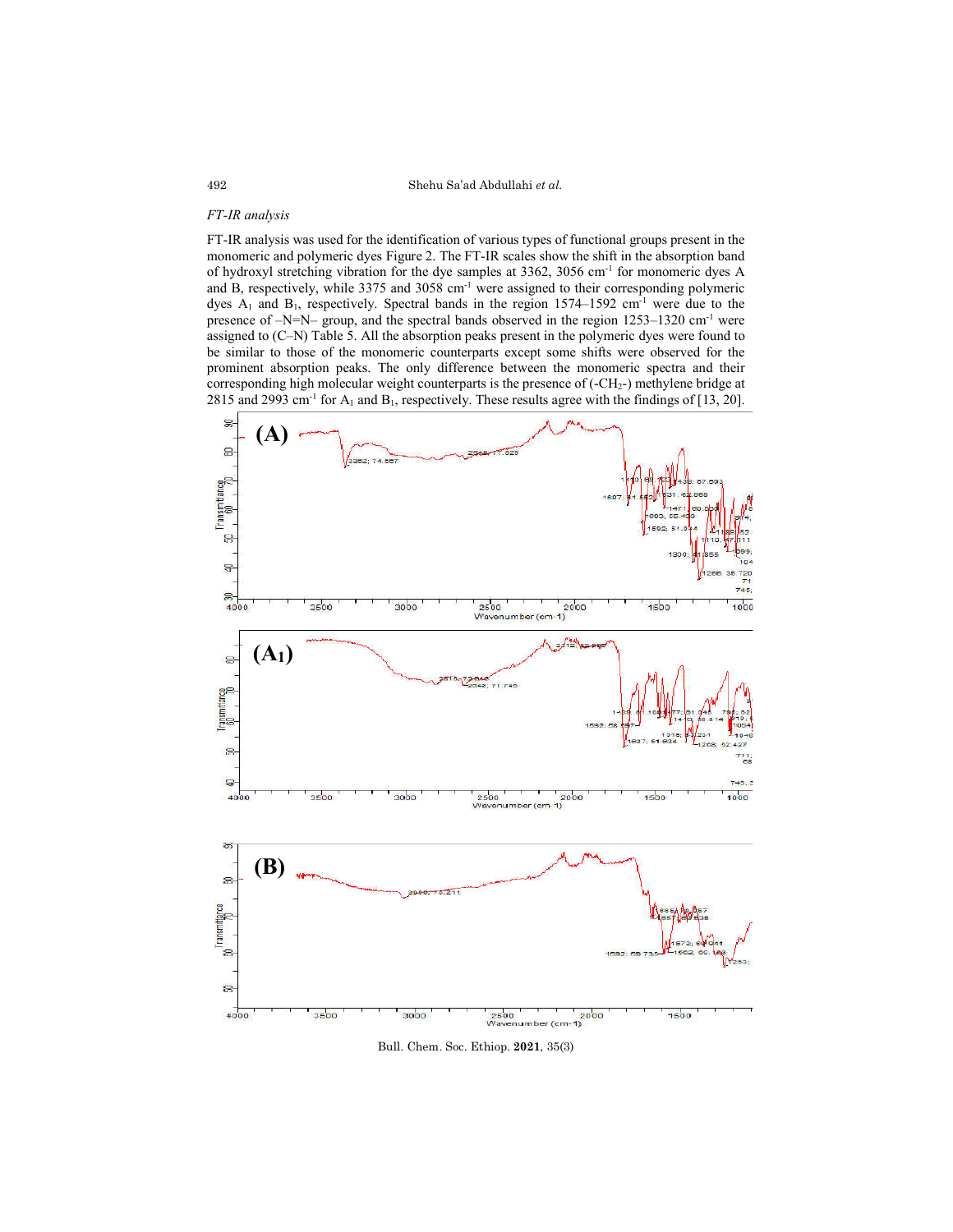#### *FT-IR analysis*

FT-IR analysis was used for the identification of various types of functional groups present in the monomeric and polymeric dyes Figure 2. The FT-IR scales show the shift in the absorption band of hydroxyl stretching vibration for the dye samples at 3362, 3056 cm<sup>-1</sup> for monomeric dyes A and B, respectively, while 3375 and 3058 cm<sup>-1</sup> were assigned to their corresponding polymeric dyes  $A_1$  and  $B_1$ , respectively. Spectral bands in the region 1574–1592 cm<sup>-1</sup> were due to the presence of  $-N=N-$  group, and the spectral bands observed in the region 1253–1320 cm<sup>-1</sup> were assigned to (C–N) Table 5. All the absorption peaks present in the polymeric dyes were found to be similar to those of the monomeric counterparts except some shifts were observed for the prominent absorption peaks. The only difference between the monomeric spectra and their corresponding high molecular weight counterparts is the presence of (-CH2-) methylene bridge at 2815 and 2993 cm<sup>-1</sup> for  $A_1$  and  $B_1$ , respectively. These results agree with the findings of [13, 20].



Bull. Chem. Soc. Ethiop. **2021**, 35(3)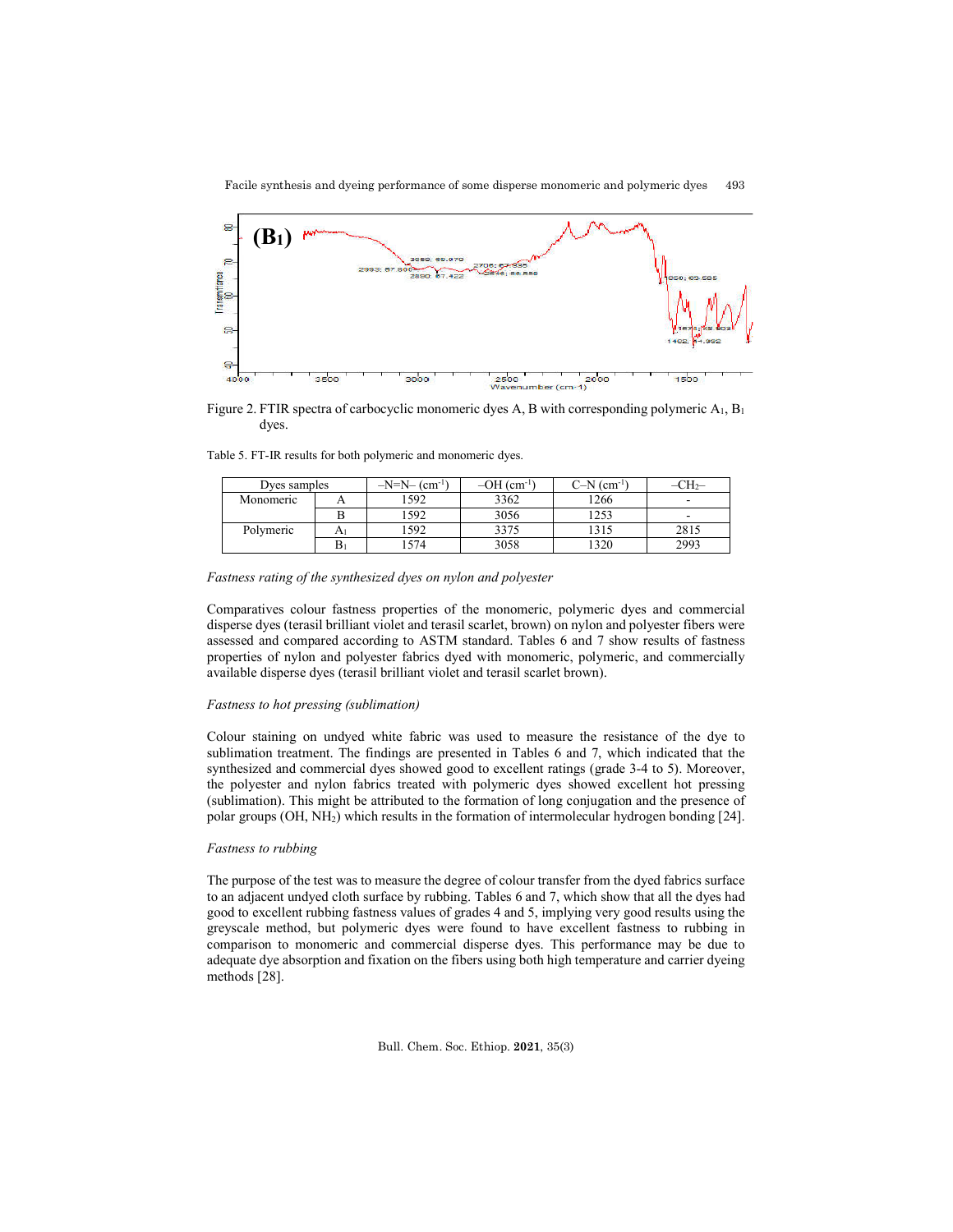

Figure 2. FTIR spectra of carbocyclic monomeric dyes A, B with corresponding polymeric A<sub>1</sub>, B<sub>1</sub> dyes.

|  |  |  |  | Table 5. FT-IR results for both polymeric and monomeric dyes. |  |
|--|--|--|--|---------------------------------------------------------------|--|
|  |  |  |  |                                                               |  |

|           | Dves samples |      | $-OH$ (cm <sup>-1</sup> ) | $C-N$ (cm <sup>-1</sup> |                          |
|-----------|--------------|------|---------------------------|-------------------------|--------------------------|
| Monomeric |              | 1592 | 3362                      | '266                    | $\overline{\phantom{a}}$ |
|           |              | 1592 | 3056                      | 1253                    | $\overline{\phantom{a}}$ |
| Polymeric |              | 592  | 3375                      | 1315                    | 2815                     |
|           |              | 574  | 3058                      | 320                     | 2993                     |

#### *Fastness rating of the synthesized dyes on nylon and polyester*

Comparatives colour fastness properties of the monomeric, polymeric dyes and commercial disperse dyes (terasil brilliant violet and terasil scarlet, brown) on nylon and polyester fibers were assessed and compared according to ASTM standard. Tables 6 and 7 show results of fastness properties of nylon and polyester fabrics dyed with monomeric, polymeric, and commercially available disperse dyes (terasil brilliant violet and terasil scarlet brown).

#### *Fastness to hot pressing (sublimation)*

Colour staining on undyed white fabric was used to measure the resistance of the dye to sublimation treatment. The findings are presented in Tables 6 and 7, which indicated that the synthesized and commercial dyes showed good to excellent ratings (grade 3-4 to 5). Moreover, the polyester and nylon fabrics treated with polymeric dyes showed excellent hot pressing (sublimation). This might be attributed to the formation of long conjugation and the presence of polar groups (OH, NH2) which results in the formation of intermolecular hydrogen bonding [24].

### *Fastness to rubbing*

The purpose of the test was to measure the degree of colour transfer from the dyed fabrics surface to an adjacent undyed cloth surface by rubbing. Tables 6 and 7, which show that all the dyes had good to excellent rubbing fastness values of grades 4 and 5, implying very good results using the greyscale method, but polymeric dyes were found to have excellent fastness to rubbing in comparison to monomeric and commercial disperse dyes. This performance may be due to adequate dye absorption and fixation on the fibers using both high temperature and carrier dyeing methods [28].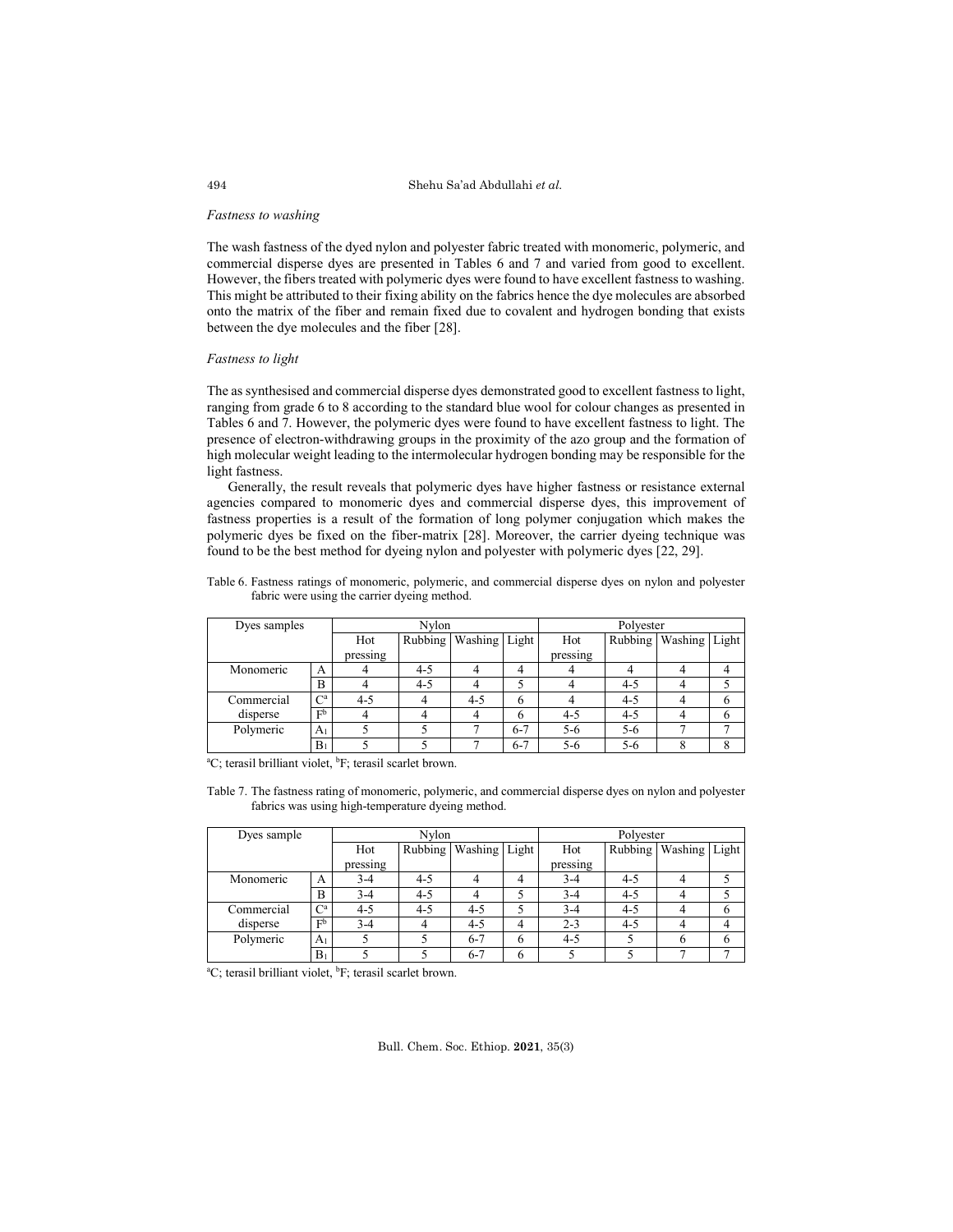#### *Fastness to washing*

The wash fastness of the dyed nylon and polyester fabric treated with monomeric, polymeric, and commercial disperse dyes are presented in Tables 6 and 7 and varied from good to excellent. However, the fibers treated with polymeric dyes were found to have excellent fastness to washing. This might be attributed to their fixing ability on the fabrics hence the dye molecules are absorbed onto the matrix of the fiber and remain fixed due to covalent and hydrogen bonding that exists between the dye molecules and the fiber [28].

#### *Fastness to light*

The as synthesised and commercial disperse dyes demonstrated good to excellent fastness to light, ranging from grade 6 to 8 according to the standard blue wool for colour changes as presented in Tables 6 and 7. However, the polymeric dyes were found to have excellent fastness to light. The presence of electron-withdrawing groups in the proximity of the azo group and the formation of high molecular weight leading to the intermolecular hydrogen bonding may be responsible for the light fastness.

Generally, the result reveals that polymeric dyes have higher fastness or resistance external agencies compared to monomeric dyes and commercial disperse dyes, this improvement of fastness properties is a result of the formation of long polymer conjugation which makes the polymeric dyes be fixed on the fiber-matrix [28]. Moreover, the carrier dyeing technique was found to be the best method for dyeing nylon and polyester with polymeric dyes [22, 29].

Table 6. Fastness ratings of monomeric, polymeric, and commercial disperse dyes on nylon and polyester fabric were using the carrier dyeing method.

| Dyes samples | Nylon                     |          |         |                       | Polyester |          |         |                           |  |
|--------------|---------------------------|----------|---------|-----------------------|-----------|----------|---------|---------------------------|--|
|              |                           | Hot      |         | Rubbing Washing Light |           | Hot      |         | Rubbing   Washing   Light |  |
|              |                           | pressing |         |                       |           | pressing |         |                           |  |
| Monomeric    | А                         |          | $4 - 5$ |                       | 4         |          |         |                           |  |
|              | B                         |          | $4 - 5$ |                       |           |          | $4 - 5$ |                           |  |
| Commercial   | $\mathrm{C}^{\mathrm{a}}$ | $4 - 5$  |         | $4 - 5$               | 6         |          | $4 - 5$ |                           |  |
| disperse     | F <sub>p</sub>            |          |         |                       | h         | $4 - 5$  | $4 - 5$ |                           |  |
| Polymeric    | A <sub>1</sub>            |          |         |                       | $6 - 7$   | $5 - 6$  | $5 - 6$ |                           |  |
|              | $B_1$                     |          |         |                       | $6 - 7$   | $5 - 6$  | $5 - 6$ |                           |  |

<sup>a</sup>C; terasil brilliant violet, <sup>b</sup>F; terasil scarlet brown.

Table 7. The fastness rating of monomeric, polymeric, and commercial disperse dyes on nylon and polyester fabrics was using high-temperature dyeing method.

| Dyes sample |                | Nvlon    |         |                       |   | Polyester |         |                       |  |
|-------------|----------------|----------|---------|-----------------------|---|-----------|---------|-----------------------|--|
|             |                | Hot      |         | Rubbing Washing Light |   | Hot       |         | Rubbing Washing Light |  |
|             |                | pressing |         |                       |   | pressing  |         |                       |  |
| Monomeric   | А              | $3-4$    | $4 - 5$ |                       |   | $3-4$     | $4 - 5$ |                       |  |
|             | B              | $3-4$    | $4 - 5$ |                       |   | $3-4$     | $4 - 5$ |                       |  |
| Commercial  | $C^{\rm a}$    | $4 - 5$  | $4 - 5$ | $4 - 5$               |   | $3 - 4$   | $4 - 5$ |                       |  |
| disperse    | F <sub>p</sub> | $3 - 4$  |         | $4 - 5$               | 4 | $2 - 3$   | $4 - 5$ |                       |  |
| Polymeric   | A <sub>1</sub> |          |         | $6 - 7$               | 6 | $4 - 5$   |         |                       |  |
|             | $B_1$          |          |         | $6 - 7$               | 6 |           |         |                       |  |

<sup>a</sup>C; terasil brilliant violet, <sup>b</sup>F; terasil scarlet brown.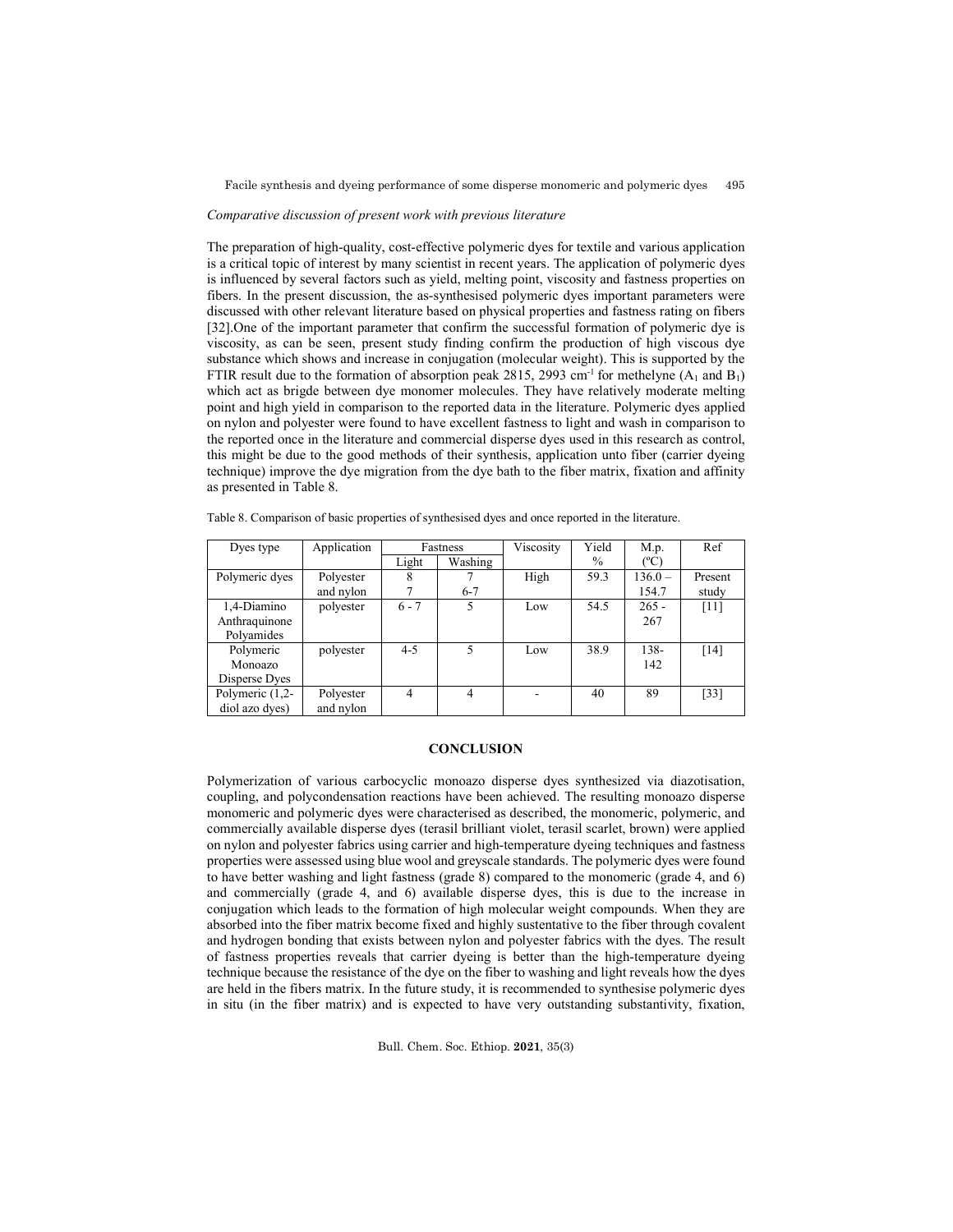#### *Comparative discussion of present work with previous literature*

The preparation of high-quality, cost-effective polymeric dyes for textile and various application is a critical topic of interest by many scientist in recent years. The application of polymeric dyes is influenced by several factors such as yield, melting point, viscosity and fastness properties on fibers. In the present discussion, the as-synthesised polymeric dyes important parameters were discussed with other relevant literature based on physical properties and fastness rating on fibers [32].One of the important parameter that confirm the successful formation of polymeric dye is viscosity, as can be seen, present study finding confirm the production of high viscous dye substance which shows and increase in conjugation (molecular weight). This is supported by the FTIR result due to the formation of absorption peak 2815, 2993 cm<sup>-1</sup> for methelyne  $(A_1 \text{ and } B_1)$ which act as brigde between dye monomer molecules. They have relatively moderate melting point and high yield in comparison to the reported data in the literature. Polymeric dyes applied on nylon and polyester were found to have excellent fastness to light and wash in comparison to the reported once in the literature and commercial disperse dyes used in this research as control, this might be due to the good methods of their synthesis, application unto fiber (carrier dyeing technique) improve the dye migration from the dye bath to the fiber matrix, fixation and affinity as presented in Table 8.

| Dyes type       | Application |         | Fastness       | Viscosity | Yield         | M.p.          | Ref     |
|-----------------|-------------|---------|----------------|-----------|---------------|---------------|---------|
|                 |             | Light   | Washing        |           | $\frac{0}{0}$ | $(^{\circ}C)$ |         |
| Polymeric dyes  | Polyester   | 8       |                | High      | 59.3          | $136.0 -$     | Present |
|                 | and nylon   |         | $6 - 7$        |           |               | 154.7         | study   |
| 1,4-Diamino     | polyester   | $6 - 7$ | 5              | Low       | 54.5          | $265 -$       | $[11]$  |
| Anthraquinone   |             |         |                |           |               | 267           |         |
| Polyamides      |             |         |                |           |               |               |         |
| Polymeric       | polyester   | $4 - 5$ | $\overline{5}$ | Low       | 38.9          | 138-          | $[14]$  |
| Monoazo         |             |         |                |           |               | 142           |         |
| Disperse Dyes   |             |         |                |           |               |               |         |
| Polymeric (1,2- | Polyester   | 4       | $\overline{4}$ |           | 40            | 89            | $[33]$  |
| diol azo dyes)  | and nylon   |         |                |           |               |               |         |

Table 8. Comparison of basic properties of synthesised dyes and once reported in the literature.

## **CONCLUSION**

Polymerization of various carbocyclic monoazo disperse dyes synthesized via diazotisation, coupling, and polycondensation reactions have been achieved. The resulting monoazo disperse monomeric and polymeric dyes were characterised as described, the monomeric, polymeric, and commercially available disperse dyes (terasil brilliant violet, terasil scarlet, brown) were applied on nylon and polyester fabrics using carrier and high-temperature dyeing techniques and fastness properties were assessed using blue wool and greyscale standards. The polymeric dyes were found to have better washing and light fastness (grade 8) compared to the monomeric (grade 4, and 6) and commercially (grade 4, and 6) available disperse dyes, this is due to the increase in conjugation which leads to the formation of high molecular weight compounds. When they are absorbed into the fiber matrix become fixed and highly sustentative to the fiber through covalent and hydrogen bonding that exists between nylon and polyester fabrics with the dyes. The result of fastness properties reveals that carrier dyeing is better than the high-temperature dyeing technique because the resistance of the dye on the fiber to washing and light reveals how the dyes are held in the fibers matrix. In the future study, it is recommended to synthesise polymeric dyes in situ (in the fiber matrix) and is expected to have very outstanding substantivity, fixation,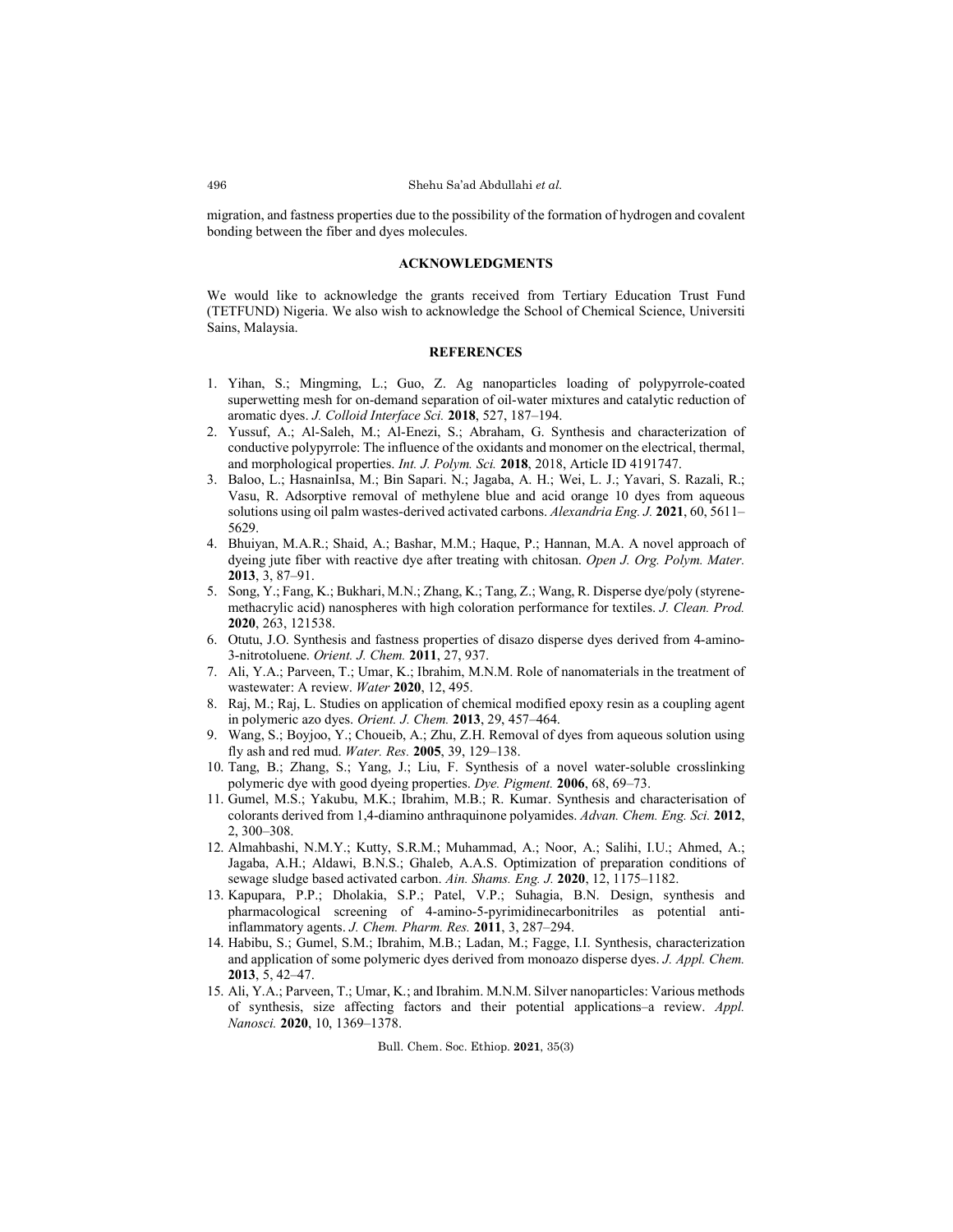migration, and fastness properties due to the possibility of the formation of hydrogen and covalent bonding between the fiber and dyes molecules.

### **ACKNOWLEDGMENTS**

We would like to acknowledge the grants received from Tertiary Education Trust Fund (TETFUND) Nigeria. We also wish to acknowledge the School of Chemical Science, Universiti Sains, Malaysia.

### **REFERENCES**

- 1. Yihan, S.; Mingming, L.; Guo, Z. Ag nanoparticles loading of polypyrrole-coated superwetting mesh for on-demand separation of oil-water mixtures and catalytic reduction of aromatic dyes. *J. Colloid Interface Sci.* **2018**, 527, 187–194.
- 2. Yussuf, A.; Al-Saleh, M.; Al-Enezi, S.; Abraham, G. Synthesis and characterization of conductive polypyrrole: The influence of the oxidants and monomer on the electrical, thermal, and morphological properties. *Int. J. Polym. Sci.* **2018**, 2018, Article ID 4191747.
- 3. Baloo, L.; HasnainIsa, M.; Bin Sapari. N.; Jagaba, A. H.; Wei, L. J.; Yavari, S. Razali, R.; Vasu, R. Adsorptive removal of methylene blue and acid orange 10 dyes from aqueous solutions using oil palm wastes-derived activated carbons. *Alexandria Eng. J.* **2021**, 60, 5611– 5629.
- 4. Bhuiyan, M.A.R.; Shaid, A.; Bashar, M.M.; Haque, P.; Hannan, M.A. A novel approach of dyeing jute fiber with reactive dye after treating with chitosan. *Open J. Org. Polym. Mater.* **2013**, 3, 87–91.
- 5. Song, Y.; Fang, K.; Bukhari, M.N.; Zhang, K.; Tang, Z.; Wang, R. Disperse dye/poly (styrenemethacrylic acid) nanospheres with high coloration performance for textiles. *J. Clean. Prod.* **2020**, 263, 121538.
- 6. Otutu, J.O. Synthesis and fastness properties of disazo disperse dyes derived from 4-amino-3-nitrotoluene. *Orient. J. Chem.* **2011**, 27, 937.
- 7. Ali, Y.A.; Parveen, T.; Umar, K.; Ibrahim, M.N.M. Role of nanomaterials in the treatment of wastewater: A review. *Water* **2020**, 12, 495.
- 8. Raj, M.; Raj, L. Studies on application of chemical modified epoxy resin as a coupling agent in polymeric azo dyes. *Orient. J. Chem.* **2013**, 29, 457–464.
- 9. Wang, S.; Boyjoo, Y.; Choueib, A.; Zhu, Z.H. Removal of dyes from aqueous solution using fly ash and red mud. *Water. Res.* **2005**, 39, 129–138.
- 10. Tang, B.; Zhang, S.; Yang, J.; Liu, F. Synthesis of a novel water-soluble crosslinking polymeric dye with good dyeing properties. *Dye. Pigment.* **2006**, 68, 69–73.
- 11. Gumel, M.S.; Yakubu, M.K.; Ibrahim, M.B.; R. Kumar. Synthesis and characterisation of colorants derived from 1,4-diamino anthraquinone polyamides. *Advan. Chem. Eng. Sci.* **2012**, 2, 300–308.
- 12. Almahbashi, N.M.Y.; Kutty, S.R.M.; Muhammad, A.; Noor, A.; Salihi, I.U.; Ahmed, A.; Jagaba, A.H.; Aldawi, B.N.S.; Ghaleb, A.A.S. Optimization of preparation conditions of sewage sludge based activated carbon. *Ain. Shams. Eng. J.* **2020**, 12, 1175–1182.
- 13. Kapupara, P.P.; Dholakia, S.P.; Patel, V.P.; Suhagia, B.N. Design, synthesis and pharmacological screening of 4-amino-5-pyrimidinecarbonitriles as potential antiinflammatory agents. *J. Chem. Pharm. Res.* **2011**, 3, 287–294.
- 14. Habibu, S.; Gumel, S.M.; Ibrahim, M.B.; Ladan, M.; Fagge, I.I. Synthesis, characterization and application of some polymeric dyes derived from monoazo disperse dyes. *J. Appl. Chem.* **2013**, 5, 42–47.
- 15. Ali, Y.A.; Parveen, T.; Umar, K.; and Ibrahim. M.N.M. Silver nanoparticles: Various methods of synthesis, size affecting factors and their potential applications–a review. *Appl. Nanosci.* **2020**, 10, 1369–1378.